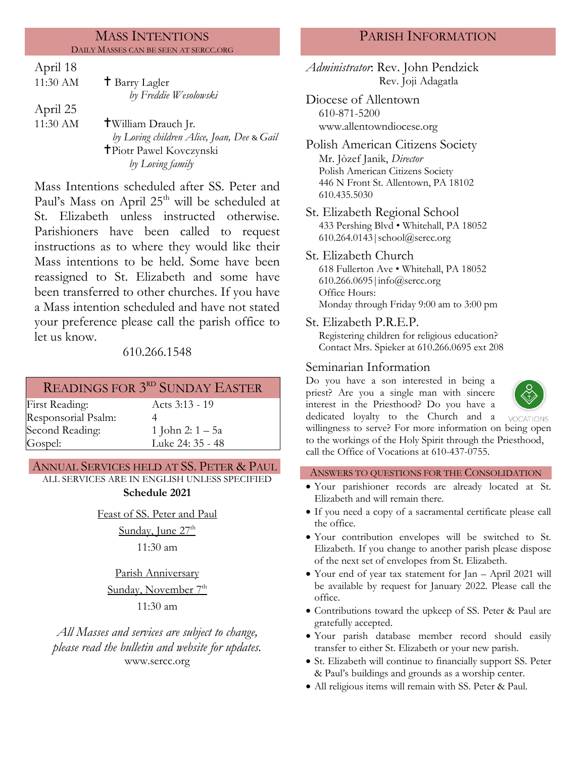#### MASS INTENTIONS DAILY MASSES CAN BE SEEN AT SERCC.ORG

| April 18 |                                            |
|----------|--------------------------------------------|
| 11:30 AM | <sup>†</sup> Barry Lagler                  |
|          | by Freddie Wesolowski                      |
| April 25 |                                            |
| 11:30 AM | <b>T</b> William Drauch Jr.                |
|          | by Loving children Alice, Joan, Dee & Gail |
|          | <b>T</b> Piotr Pawel Kovczynski            |
|          | by Loving family                           |
|          |                                            |

Mass Intentions scheduled after SS. Peter and Paul's Mass on April 25<sup>th</sup> will be scheduled at St. Elizabeth unless instructed otherwise. Parishioners have been called to request instructions as to where they would like their Mass intentions to be held. Some have been reassigned to St. Elizabeth and some have been transferred to other churches. If you have a Mass intention scheduled and have not stated your preference please call the parish office to let us know.

## 610.266.1548

# READINGS FOR 3<sup>rd</sup> SUNDAY EASTER

First Reading: Acts 3:13 - 19 Responsorial Psalm: Second Reading: Gospel:

4 1 John 2: 1 – 5a

Luke 24: 35 - 48

## ANNUAL SERVICES HELD AT SS. PETER & PAUL

ALL SERVICES ARE IN ENGLISH UNLESS SPECIFIED **Schedule 2021**

Feast of SS. Peter and Paul

Sunday, June 27<sup>th</sup>

11:30 am

Parish Anniversary

Sunday, November 7<sup>th</sup>

11:30 am

*All Masses and services are subject to change, please read the bulletin and website for updates.* www.sercc.org

## PARISH INFORMATION

*Administrator*: Rev. John Pendzick Rev. Joji Adagatla

- Diocese of Allentown 610-871-5200 www.allentowndiocese.org
- Polish American Citizens Society Mr. Jòzef Janik, *Director* Polish American Citizens Society 446 N Front St. Allentown, PA 18102 610.435.5030
- St. Elizabeth Regional School 433 Pershing Blvd • Whitehall, PA 18052 610.264.0143|school@sercc.org

St. Elizabeth Church 618 Fullerton Ave • Whitehall, PA 18052 610.266.0695|info@sercc.org Office Hours: Monday through Friday 9:00 am to 3:00 pm

St. Elizabeth P.R.E.P.

Registering children for religious education? Contact Mrs. Spieker at 610.266.0695 ext 208

## Seminarian Information

Do you have a son interested in being a priest? Are you a single man with sincere interest in the Priesthood? Do you have a dedicated loyalty to the Church and a



willingness to serve? For more information on being open to the workings of the Holy Spirit through the Priesthood, call the Office of Vocations at 610-437-0755.

### ANSWERS TO QUESTIONS FOR THE CONSOLIDATION

- Your parishioner records are already located at St. Elizabeth and will remain there.
- If you need a copy of a sacramental certificate please call the office.
- Your contribution envelopes will be switched to St. Elizabeth. If you change to another parish please dispose of the next set of envelopes from St. Elizabeth.
- Your end of year tax statement for Jan April 2021 will be available by request for January 2022. Please call the office.
- Contributions toward the upkeep of SS. Peter & Paul are gratefully accepted.
- Your parish database member record should easily transfer to either St. Elizabeth or your new parish.
- St. Elizabeth will continue to financially support SS. Peter & Paul's buildings and grounds as a worship center.
- All religious items will remain with SS. Peter & Paul.